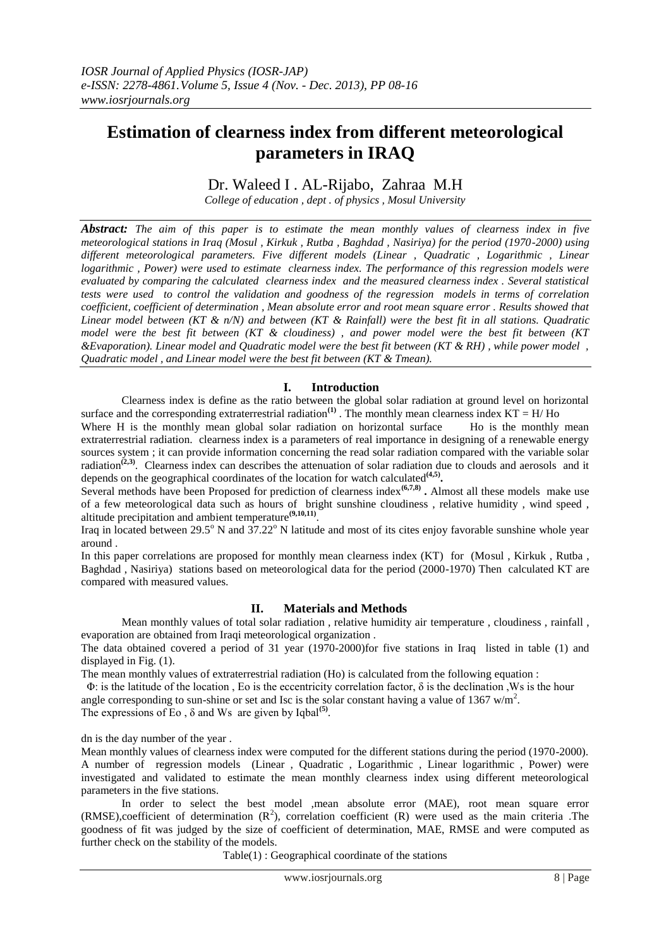# **Estimation of clearness index from different meteorological parameters in IRAQ**

# Dr. Waleed I . AL-Rijabo, Zahraa M.H

*College of education , dept . of physics , Mosul University*

*Abstract: The aim of this paper is to estimate the mean monthly values of clearness index in five meteorological stations in Iraq (Mosul , Kirkuk , Rutba , Baghdad , Nasiriya) for the period (1970-2000) using different meteorological parameters. Five different models (Linear , Quadratic , Logarithmic , Linear logarithmic , Power) were used to estimate clearness index. The performance of this regression models were evaluated by comparing the calculated clearness index and the measured clearness index . Several statistical tests were used to control the validation and goodness of the regression models in terms of correlation coefficient, coefficient of determination , Mean absolute error and root mean square error . Results showed that Linear model between (KT & n/N) and between (KT & Rainfall) were the best fit in all stations. Quadratic model were the best fit between (KT & cloudiness) , and power model were the best fit between (KT &Evaporation). Linear model and Quadratic model were the best fit between (KT & RH) , while power model , Quadratic model , and Linear model were the best fit between (KT & Tmean).*

### **I. Introduction**

Clearness index is define as the ratio between the global solar radiation at ground level on horizontal surface and the corresponding extraterrestrial radiation<sup>(1)</sup>. The monthly mean clearness index  $KT = H/H$ o

Where H is the monthly mean global solar radiation on horizontal surface Ho is the monthly mean extraterrestrial radiation. clearness index is a parameters of real importance in designing of a renewable energy sources system ; it can provide information concerning the read solar radiation compared with the variable solar radiation<sup>(2,3)</sup>. Clearness index can describes the attenuation of solar radiation due to clouds and aerosols and it depends on the geographical coordinates of the location for watch calculated**(4,5) .**

Several methods have been Proposed for prediction of clearness index<sup>(6,7,8)</sup>. Almost all these models make use of a few meteorological data such as hours of bright sunshine cloudiness , relative humidity , wind speed , altitude precipitation and ambient temperature**(9,10,11)** .

Iraq in located between  $29.5^{\circ}$  N and  $37.22^{\circ}$  N latitude and most of its cites enjoy favorable sunshine whole year around .

In this paper correlations are proposed for monthly mean clearness index (KT) for (Mosul , Kirkuk , Rutba , Baghdad , Nasiriya) stations based on meteorological data for the period (2000-1970) Then calculated KT are compared with measured values.

#### **II. Materials and Methods**

Mean monthly values of total solar radiation , relative humidity air temperature , cloudiness , rainfall , evaporation are obtained from Iraqi meteorological organization .

The data obtained covered a period of 31 year (1970-2000)for five stations in Iraq listed in table (1) and displayed in Fig. (1).

The mean monthly values of extraterrestrial radiation (Ho) is calculated from the following equation :

 Φ: is the latitude of the location , Eo is the eccentricity correlation factor, δ is the declination ,Ws is the hour angle corresponding to sun-shine or set and Isc is the solar constant having a value of 1367 w/m<sup>2</sup>.

The expressions of Eo,  $\delta$  and Ws are given by Iqbal<sup>(5)</sup>.

dn is the day number of the year .

Mean monthly values of clearness index were computed for the different stations during the period (1970-2000). A number of regression models (Linear , Quadratic , Logarithmic , Linear logarithmic , Power) were investigated and validated to estimate the mean monthly clearness index using different meteorological parameters in the five stations.

In order to select the best model ,mean absolute error (MAE), root mean square error (RMSE), coefficient of determination  $(R^2)$ , correlation coefficient  $(R)$  were used as the main criteria. The goodness of fit was judged by the size of coefficient of determination, MAE, RMSE and were computed as further check on the stability of the models.

Table(1) : Geographical coordinate of the stations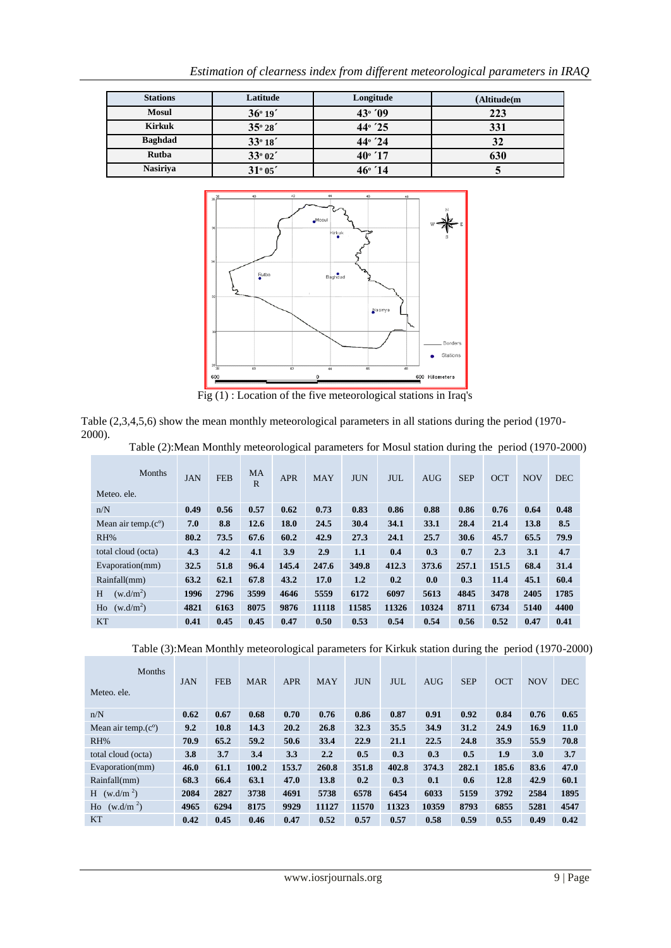| <b>Stations</b> | Latitude | Longitude       | (Altitude(m |
|-----------------|----------|-----------------|-------------|
| <b>Mosul</b>    | 36°19'   | 43°709          | 223         |
| <b>Kirkuk</b>   | 35°28'   | $44^{\circ}$ 25 | 331         |
| <b>Baghdad</b>  | 33°18'   | $44^{\circ}$ 24 | 32          |
| Rutba           | 33°02'   | $40^{\circ}$ 17 | 630         |
| <b>Nasiriya</b> | 31°05'   | $46^{\circ}$ 14 | J           |

*Estimation of clearness index from different meteorological parameters in IRAQ*



Fig (1) : Location of the five meteorological stations in Iraq's

Table (2,3,4,5,6) show the mean monthly meteorological parameters in all stations during the period (1970- 2000).

|  | Table (2): Mean Monthly meteorological parameters for Mosul station during the period (1970-2000) |  |
|--|---------------------------------------------------------------------------------------------------|--|
|  |                                                                                                   |  |

| <b>Months</b><br>Meteo, ele. | <b>JAN</b> | <b>FEB</b> | <b>MA</b><br>$\mathbf R$ | <b>APR</b> | <b>MAY</b> | <b>JUN</b> | <b>JUL</b> | <b>AUG</b> | <b>SEP</b> | <b>OCT</b> | <b>NOV</b> | <b>DEC</b> |
|------------------------------|------------|------------|--------------------------|------------|------------|------------|------------|------------|------------|------------|------------|------------|
| n/N                          | 0.49       | 0.56       | 0.57                     | 0.62       | 0.73       | 0.83       | 0.86       | 0.88       | 0.86       | 0.76       | 0.64       | 0.48       |
| Mean air temp. $(c^{\circ})$ | 7.0        | 8.8        | 12.6                     | 18.0       | 24.5       | 30.4       | 34.1       | 33.1       | 28.4       | 21.4       | 13.8       | 8.5        |
| RH%                          | 80.2       | 73.5       | 67.6                     | 60.2       | 42.9       | 27.3       | 24.1       | 25.7       | 30.6       | 45.7       | 65.5       | 79.9       |
| total cloud (octa)           | 4.3        | 4.2        | 4.1                      | 3.9        | 2.9        | 1.1        | 0.4        | 0.3        | 0.7        | 2.3        | 3.1        | 4.7        |
| Evaporation(mm)              | 32.5       | 51.8       | 96.4                     | 145.4      | 247.6      | 349.8      | 412.3      | 373.6      | 257.1      | 151.5      | 68.4       | 31.4       |
| Rainfall(mm)                 | 63.2       | 62.1       | 67.8                     | 43.2       | 17.0       | 1.2        | 0.2        | 0.0        | 0.3        | 11.4       | 45.1       | 60.4       |
| H<br>(w.d/m <sup>2</sup> )   | 1996       | 2796       | 3599                     | 4646       | 5559       | 6172       | 6097       | 5613       | 4845       | 3478       | 2405       | 1785       |
| (w.d/m <sup>2</sup> )<br>Ho  | 4821       | 6163       | 8075                     | 9876       | 11118      | 11585      | 11326      | 10324      | 8711       | 6734       | 5140       | 4400       |
| <b>KT</b>                    | 0.41       | 0.45       | 0.45                     | 0.47       | 0.50       | 0.53       | 0.54       | 0.54       | 0.56       | 0.52       | 0.47       | 0.41       |

Table (3):Mean Monthly meteorological parameters for Kirkuk station during the period (1970-2000)

| <b>Months</b><br>Meteo, ele. | <b>JAN</b> | <b>FEB</b> | <b>MAR</b> | <b>APR</b> | <b>MAY</b> | <b>JUN</b> | <b>JUL</b> | <b>AUG</b> | <b>SEP</b> | <b>OCT</b> | <b>NOV</b> | <b>DEC</b> |
|------------------------------|------------|------------|------------|------------|------------|------------|------------|------------|------------|------------|------------|------------|
| n/N                          | 0.62       | 0.67       | 0.68       | 0.70       | 0.76       | 0.86       | 0.87       | 0.91       | 0.92       | 0.84       | 0.76       | 0.65       |
| Mean air temp. $(c^{\circ})$ | 9.2        | 10.8       | 14.3       | 20.2       | 26.8       | 32.3       | 35.5       | 34.9       | 31.2       | 24.9       | 16.9       | 11.0       |
| RH%                          | 70.9       | 65.2       | 59.2       | 50.6       | 33.4       | 22.9       | 21.1       | 22.5       | 24.8       | 35.9       | 55.9       | 70.8       |
| total cloud (octa)           | 3.8        | 3.7        | 3.4        | 3.3        | 2.2        | 0.5        | 0.3        | 0.3        | 0.5        | 1.9        | 3.0        | 3.7        |
| Evaporation(mm)              | 46.0       | 61.1       | 100.2      | 153.7      | 260.8      | 351.8      | 402.8      | 374.3      | 282.1      | 185.6      | 83.6       | 47.0       |
| Rainfall(mm)                 | 68.3       | 66.4       | 63.1       | 47.0       | 13.8       | 0.2        | 0.3        | 0.1        | 0.6        | 12.8       | 42.9       | 60.1       |
| $H$ (w.d/m <sup>2</sup> )    | 2084       | 2827       | 3738       | 4691       | 5738       | 6578       | 6454       | 6033       | 5159       | 3792       | 2584       | 1895       |
| (w.d/m <sup>2</sup> )<br>Ho  | 4965       | 6294       | 8175       | 9929       | 11127      | 11570      | 11323      | 10359      | 8793       | 6855       | 5281       | 4547       |
| <b>KT</b>                    | 0.42       | 0.45       | 0.46       | 0.47       | 0.52       | 0.57       | 0.57       | 0.58       | 0.59       | 0.55       | 0.49       | 0.42       |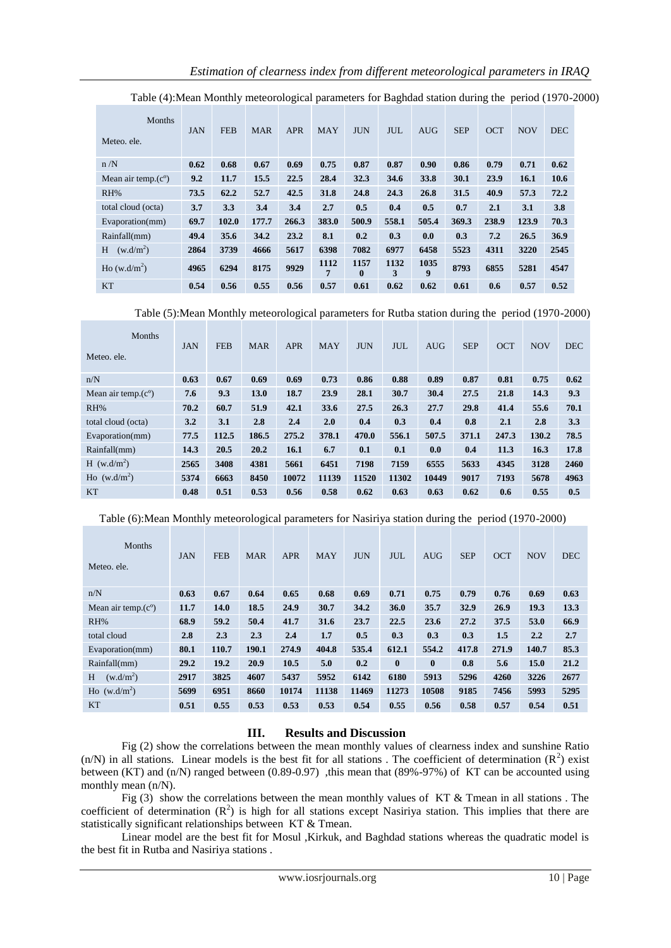| Months<br>Meteo, ele.        | <b>JAN</b> | <b>FEB</b> | <b>MAR</b> | <b>APR</b> | <b>MAY</b> | <b>JUN</b>           | JUL.      | <b>AUG</b> | <b>SEP</b> | <b>OCT</b> | <b>NOV</b> | <b>DEC</b> |
|------------------------------|------------|------------|------------|------------|------------|----------------------|-----------|------------|------------|------------|------------|------------|
| n/N                          | 0.62       | 0.68       | 0.67       | 0.69       | 0.75       | 0.87                 | 0.87      | 0.90       | 0.86       | 0.79       | 0.71       | 0.62       |
| Mean air temp. $(c^{\circ})$ | 9.2        | 11.7       | 15.5       | 22.5       | 28.4       | 32.3                 | 34.6      | 33.8       | 30.1       | 23.9       | 16.1       | 10.6       |
| RH%                          | 73.5       | 62.2       | 52.7       | 42.5       | 31.8       | 24.8                 | 24.3      | 26.8       | 31.5       | 40.9       | 57.3       | 72.2       |
| total cloud (octa)           | 3.7        | 3.3        | 3.4        | 3.4        | 2.7        | 0.5                  | 0.4       | 0.5        | 0.7        | 2.1        | 3.1        | 3.8        |
| Evaporation(mm)              | 69.7       | 102.0      | 177.7      | 266.3      | 383.0      | 500.9                | 558.1     | 505.4      | 369.3      | 238.9      | 123.9      | 70.3       |
| Rainfall(mm)                 | 49.4       | 35.6       | 34.2       | 23.2       | 8.1        | 0.2                  | 0.3       | 0.0        | 0.3        | 7.2        | 26.5       | 36.9       |
| (w.d/m <sup>2</sup> )<br>H   | 2864       | 3739       | 4666       | 5617       | 6398       | 7082                 | 6977      | 6458       | 5523       | 4311       | 3220       | 2545       |
| Ho (w.d/m <sup>2</sup> )     | 4965       | 6294       | 8175       | 9929       | 1112<br>7  | 1157<br>$\mathbf{0}$ | 1132<br>3 | 1035<br>9  | 8793       | 6855       | 5281       | 4547       |
| <b>KT</b>                    | 0.54       | 0.56       | 0.55       | 0.56       | 0.57       | 0.61                 | 0.62      | 0.62       | 0.61       | 0.6        | 0.57       | 0.52       |

Table (4):Mean Monthly meteorological parameters for Baghdad station during the period (1970-2000)

Table (5):Mean Monthly meteorological parameters for Rutba station during the period (1970-2000)

| <b>Months</b><br>Meteo, ele. | <b>JAN</b> | <b>FEB</b> | <b>MAR</b> | <b>APR</b> | <b>MAY</b> | <b>JUN</b> | <b>JUL</b> | <b>AUG</b> | <b>SEP</b> | <b>OCT</b> | <b>NOV</b> | <b>DEC</b> |
|------------------------------|------------|------------|------------|------------|------------|------------|------------|------------|------------|------------|------------|------------|
| n/N                          | 0.63       | 0.67       | 0.69       | 0.69       | 0.73       | 0.86       | 0.88       | 0.89       | 0.87       | 0.81       | 0.75       | 0.62       |
| Mean air temp. $(c^{\circ})$ | 7.6        | 9.3        | 13.0       | 18.7       | 23.9       | 28.1       | 30.7       | 30.4       | 27.5       | 21.8       | 14.3       | 9.3        |
| RH%                          | 70.2       | 60.7       | 51.9       | 42.1       | 33.6       | 27.5       | 26.3       | 27.7       | 29.8       | 41.4       | 55.6       | 70.1       |
| total cloud (octa)           | 3.2        | 3.1        | 2.8        | 2.4        | 2.0        | 0.4        | 0.3        | 0.4        | 0.8        | 2.1        | 2.8        | 3.3        |
| Evaporation(mm)              | 77.5       | 112.5      | 186.5      | 275.2      | 378.1      | 470.0      | 556.1      | 507.5      | 371.1      | 247.3      | 130.2      | 78.5       |
| Rainfall(mm)                 | 14.3       | 20.5       | 20.2       | 16.1       | 6.7        | 0.1        | 0.1        | 0.0        | 0.4        | 11.3       | 16.3       | 17.8       |
| H(w.d/m <sup>2</sup> )       | 2565       | 3408       | 4381       | 5661       | 6451       | 7198       | 7159       | 6555       | 5633       | 4345       | 3128       | 2460       |
| $\text{Ho}(\text{w.d/m}^2)$  | 5374       | 6663       | 8450       | 10072      | 11139      | 11520      | 11302      | 10449      | 9017       | 7193       | 5678       | 4963       |
| <b>KT</b>                    | 0.48       | 0.51       | 0.53       | 0.56       | 0.58       | 0.62       | 0.63       | 0.63       | 0.62       | 0.6        | 0.55       | 0.5        |

Table (6):Mean Monthly meteorological parameters for Nasiriya station during the period (1970-2000)

| <b>Months</b><br>Meteo, ele. | <b>JAN</b> | <b>FEB</b> | <b>MAR</b> | <b>APR</b> | <b>MAY</b> | <b>JUN</b> | <b>JUL</b> | <b>AUG</b>   | <b>SEP</b> | <b>OCT</b> | <b>NOV</b> | <b>DEC</b> |
|------------------------------|------------|------------|------------|------------|------------|------------|------------|--------------|------------|------------|------------|------------|
| n/N                          | 0.63       | 0.67       | 0.64       | 0.65       | 0.68       | 0.69       | 0.71       | 0.75         | 0.79       | 0.76       | 0.69       | 0.63       |
| Mean air temp. $(c^{\circ})$ | 11.7       | 14.0       | 18.5       | 24.9       | 30.7       | 34.2       | 36.0       | 35.7         | 32.9       | 26.9       | 19.3       | 13.3       |
| RH%                          | 68.9       | 59.2       | 50.4       | 41.7       | 31.6       | 23.7       | 22.5       | 23.6         | 27.2       | 37.5       | 53.0       | 66.9       |
| total cloud                  | 2.8        | 2.3        | 2.3        | 2.4        | 1.7        | 0.5        | 0.3        | 0.3          | 0.3        | 1.5        | 2.2        | 2.7        |
| Evaporation(mm)              | 80.1       | 110.7      | 190.1      | 274.9      | 404.8      | 535.4      | 612.1      | 554.2        | 417.8      | 271.9      | 140.7      | 85.3       |
| Rainfall(mm)                 | 29.2       | 19.2       | 20.9       | 10.5       | 5.0        | 0.2        | $\bf{0}$   | $\mathbf{0}$ | 0.8        | 5.6        | 15.0       | 21.2       |
| (w.d/m <sup>2</sup> )<br>H   | 2917       | 3825       | 4607       | 5437       | 5952       | 6142       | 6180       | 5913         | 5296       | 4260       | 3226       | 2677       |
| Ho $(w.d/m^2)$               | 5699       | 6951       | 8660       | 10174      | 11138      | 11469      | 11273      | 10508        | 9185       | 7456       | 5993       | 5295       |
| <b>KT</b>                    | 0.51       | 0.55       | 0.53       | 0.53       | 0.53       | 0.54       | 0.55       | 0.56         | 0.58       | 0.57       | 0.54       | 0.51       |

## **III. Results and Discussion**

Fig (2) show the correlations between the mean monthly values of clearness index and sunshine Ratio  $(n/N)$  in all stations. Linear models is the best fit for all stations. The coefficient of determination  $(R^2)$  exist between (KT) and (n/N) ranged between (0.89-0.97) ,this mean that (89%-97%) of KT can be accounted using monthly mean (n/N).

Fig (3) show the correlations between the mean monthly values of KT & Tmean in all stations . The coefficient of determination  $(R^2)$  is high for all stations except Nasiriya station. This implies that there are statistically significant relationships between KT & Tmean.

Linear model are the best fit for Mosul ,Kirkuk, and Baghdad stations whereas the quadratic model is the best fit in Rutba and Nasiriya stations .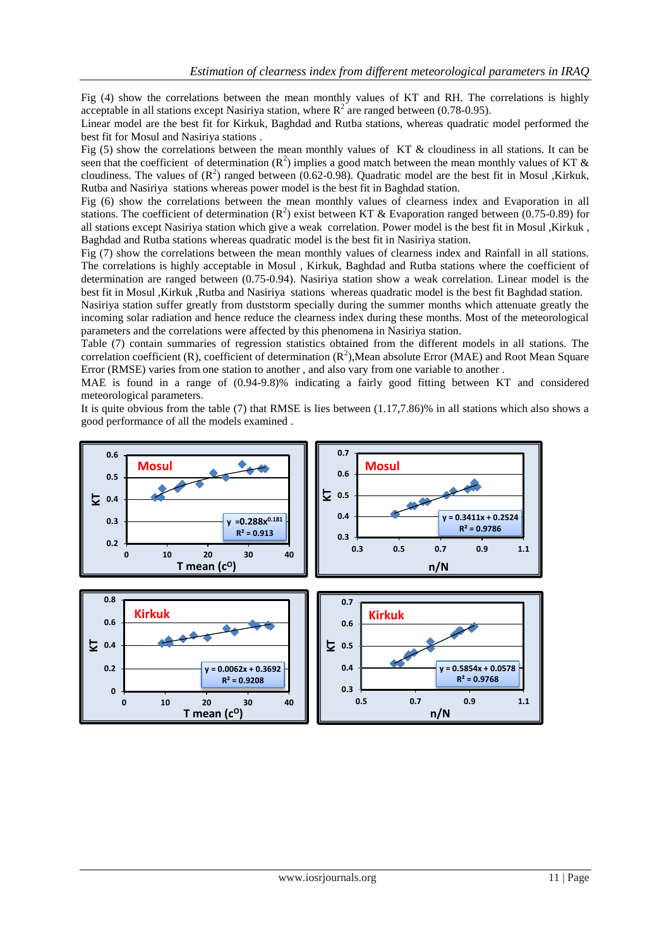Fig (4) show the correlations between the mean monthly values of KT and RH. The correlations is highly acceptable in all stations except Nasiriya station, where  $R^2$  are ranged between (0.78-0.95).

Linear model are the best fit for Kirkuk, Baghdad and Rutba stations, whereas quadratic model performed the best fit for Mosul and Nasiriya stations .

Fig (5) show the correlations between the mean monthly values of KT & cloudiness in all stations. It can be seen that the coefficient of determination ( $\mathbb{R}^2$ ) implies a good match between the mean monthly values of KT & cloudiness. The values of  $(R^2)$  ranged between (0.62-0.98). Quadratic model are the best fit in Mosul ,Kirkuk, Rutba and Nasiriya stations whereas power model is the best fit in Baghdad station.

Fig (6) show the correlations between the mean monthly values of clearness index and Evaporation in all stations. The coefficient of determination ( $\mathbb{R}^2$ ) exist between KT & Evaporation ranged between (0.75-0.89) for all stations except Nasiriya station which give a weak correlation. Power model is the best fit in Mosul ,Kirkuk , Baghdad and Rutba stations whereas quadratic model is the best fit in Nasiriya station.

Fig (7) show the correlations between the mean monthly values of clearness index and Rainfall in all stations. The correlations is highly acceptable in Mosul , Kirkuk, Baghdad and Rutba stations where the coefficient of determination are ranged between (0.75-0.94). Nasiriya station show a weak correlation. Linear model is the best fit in Mosul ,Kirkuk ,Rutba and Nasiriya stations whereas quadratic model is the best fit Baghdad station.

Nasiriya station suffer greatly from duststorm specially during the summer months which attenuate greatly the incoming solar radiation and hence reduce the clearness index during these months. Most of the meteorological parameters and the correlations were affected by this phenomena in Nasiriya station.

Table (7) contain summaries of regression statistics obtained from the different models in all stations. The correlation coefficient (R), coefficient of determination  $(R^2)$ , Mean absolute Error (MAE) and Root Mean Square Error (RMSE) varies from one station to another , and also vary from one variable to another .

MAE is found in a range of (0.94-9.8)% indicating a fairly good fitting between KT and considered meteorological parameters.

It is quite obvious from the table (7) that RMSE is lies between (1.17,7.86)% in all stations which also shows a good performance of all the models examined .

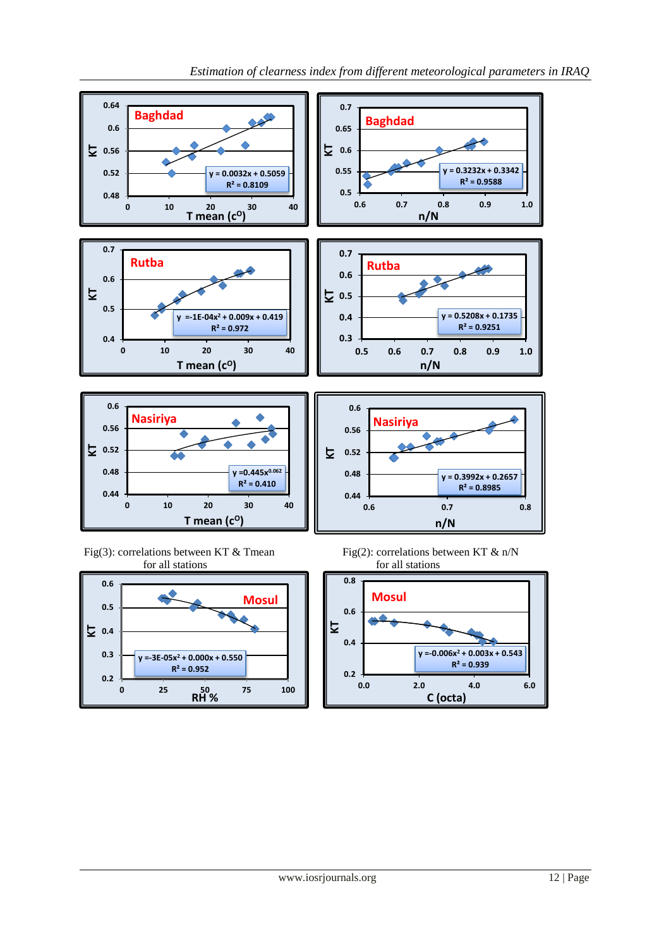

Fig(3): correlations between KT & Tmean Fig(2): correlations between KT & n/N for all stations for all stations



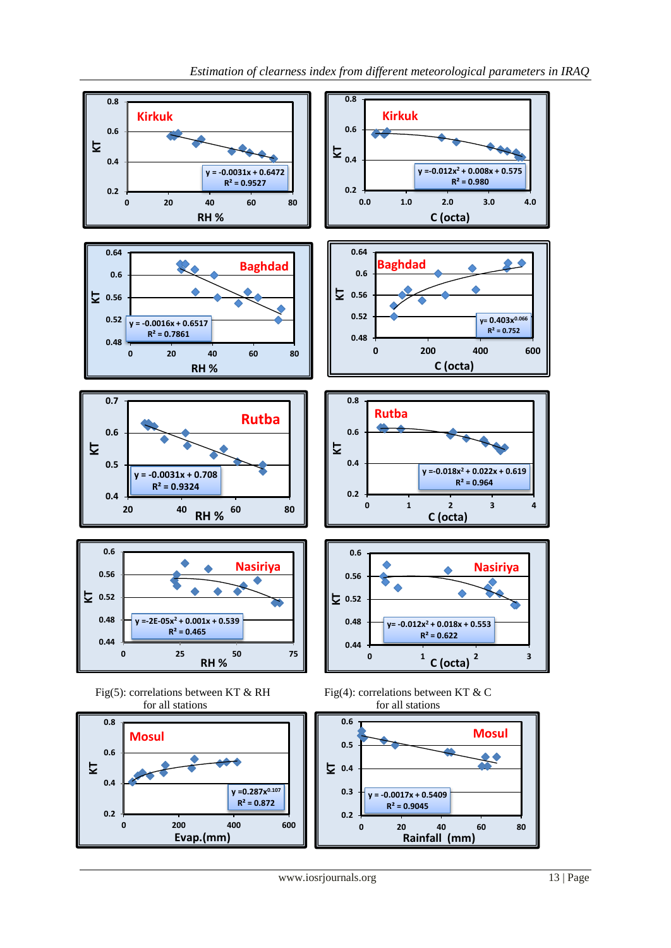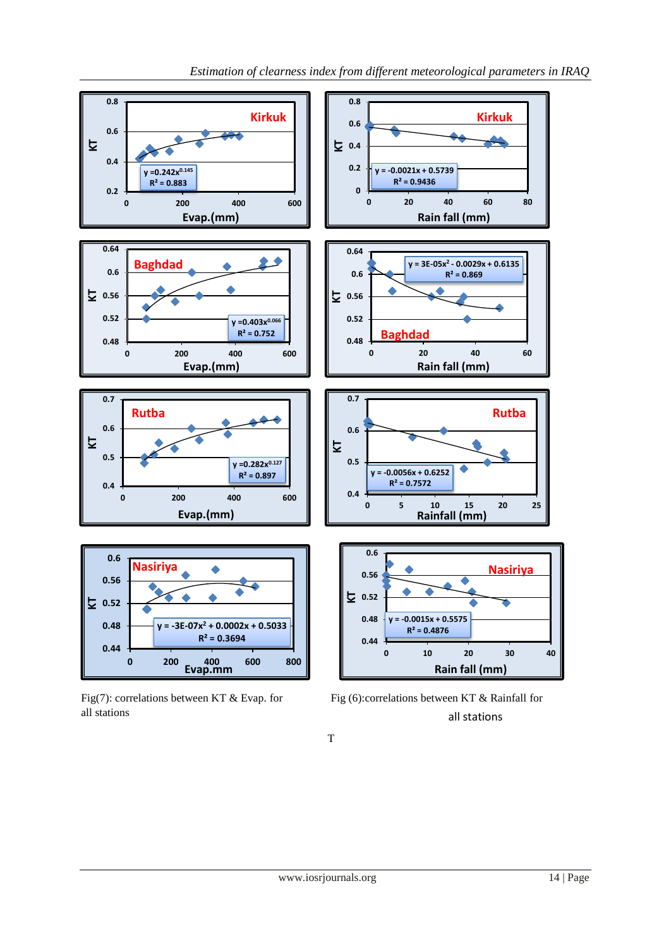

all stations



T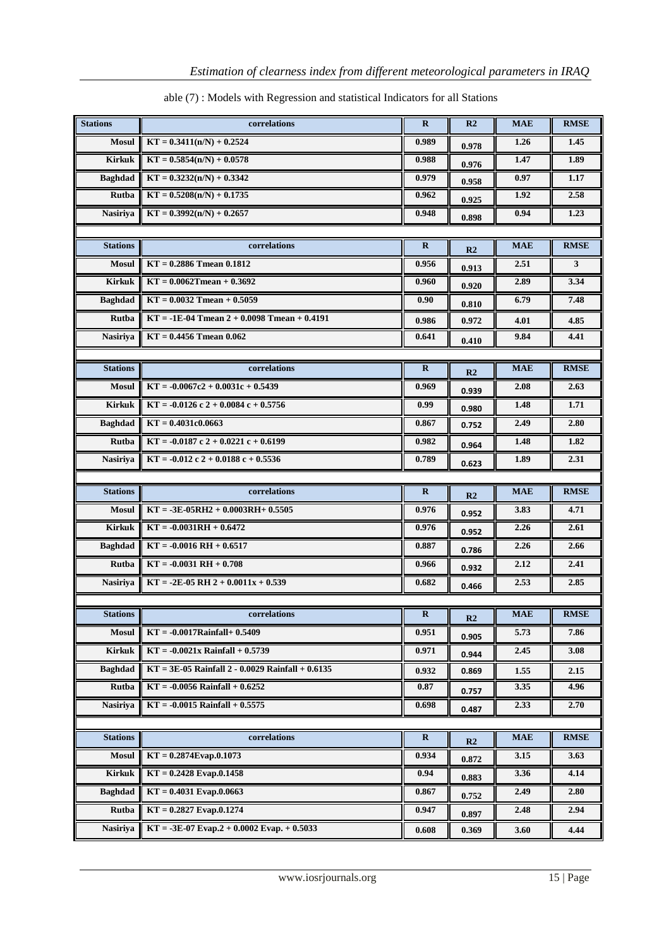| <b>Stations</b> | correlations                                       | $\bf{R}$     | R <sub>2</sub> | <b>MAE</b> | <b>RMSE</b> |
|-----------------|----------------------------------------------------|--------------|----------------|------------|-------------|
| <b>Mosul</b>    | $KT = 0.3411(n/N) + 0.2524$                        | 0.989        | 0.978          | 1.26       | 1.45        |
| <b>Kirkuk</b>   | $KT = 0.5854(n/N) + 0.0578$                        | 0.988        | 0.976          | 1.47       | 1.89        |
| <b>Baghdad</b>  | $KT = 0.3232(n/N) + 0.3342$                        | 0.979        | 0.958          | 0.97       | 1.17        |
| <b>Rutba</b>    | $KT = 0.5208(n/N) + 0.1735$                        | 0.962        | 0.925          | 1.92       | 2.58        |
| <b>Nasiriya</b> | $KT = 0.3992(n/N) + 0.2657$                        | 0.948        | 0.898          | 0.94       | 1.23        |
|                 |                                                    |              |                |            |             |
| <b>Stations</b> | correlations                                       | $\mathbf{R}$ | R <sub>2</sub> | <b>MAE</b> | <b>RMSE</b> |
| <b>Mosul</b>    | $KT = 0.2886$ Tmean $0.1812$                       | 0.956        | 0.913          | 2.51       | 3           |
| <b>Kirkuk</b>   | $KT = 0.0062$ Tmean + 0.3692                       | 0.960        | 0.920          | 2.89       | 3.34        |
| <b>Baghdad</b>  | $KT = 0.0032$ Tmean + 0.5059                       | 0.90         | 0.810          | 6.79       | 7.48        |
| Rutba           | $KT = -1E-04$ Tmean 2 + 0.0098 Tmean + 0.4191      | 0.986        | 0.972          | 4.01       | 4.85        |
| <b>Nasiriya</b> | $KT = 0.4456$ Tmean 0.062                          | 0.641        | 0.410          | 9.84       | 4.41        |
|                 |                                                    |              |                |            |             |
| <b>Stations</b> | correlations                                       | $\bf{R}$     | R <sub>2</sub> | <b>MAE</b> | <b>RMSE</b> |
| <b>Mosul</b>    | $KT = -0.0067c2 + 0.0031c + 0.5439$                | 0.969        | 0.939          | 2.08       | 2.63        |
| <b>Kirkuk</b>   | $KT = -0.0126$ c 2 + 0.0084 c + 0.5756             | 0.99         | 0.980          | 1.48       | 1.71        |
| <b>Baghdad</b>  | $KT = 0.4031c0.0663$                               | 0.867        | 0.752          | 2.49       | 2.80        |
| <b>Rutba</b>    | $KT = -0.0187c2 + 0.0221c + 0.6199$                | 0.982        | 0.964          | 1.48       | 1.82        |
| <b>Nasiriya</b> | $KT = -0.012c2 + 0.0188c + 0.5536$                 | 0.789        | 0.623          | 1.89       | 2.31        |
|                 |                                                    |              |                |            |             |
|                 |                                                    |              |                |            |             |
| <b>Stations</b> | correlations                                       | $\bf{R}$     | R <sub>2</sub> | <b>MAE</b> | <b>RMSE</b> |
| <b>Mosul</b>    | $KT = -3E-05RH2 + 0.0003RH + 0.5505$               | 0.976        | 0.952          | 3.83       | 4.71        |
| <b>Kirkuk</b>   | $KT = -0.0031RH + 0.6472$                          | 0.976        | 0.952          | 2.26       | 2.61        |
| <b>Baghdad</b>  | $KT = -0.0016 RH + 0.6517$                         | 0.887        | 0.786          | 2.26       | 2.66        |
| Rutba           | $KT = -0.0031 RH + 0.708$                          | 0.966        | 0.932          | 2.12       | 2.41        |
| <b>Nasiriya</b> | $KT = -2E-05$ RH 2 + 0.0011x + 0.539               | 0.682        | 0.466          | 2.53       | 2.85        |
|                 |                                                    |              |                |            |             |
| <b>Stations</b> | correlations                                       | $\bf{R}$     | R2             | <b>MAE</b> | <b>RMSE</b> |
| <b>Mosul</b>    | $KT = -0.0017$ Rainfall+ 0.5409                    | 0.951        | 0.905          | 5.73       | 7.86        |
| <b>Kirkuk</b>   | $KT = -0.0021x$ Rainfall + 0.5739                  | 0.971        | 0.944          | 2.45       | 3.08        |
| <b>Baghdad</b>  | $KT = 3E-05$ Rainfall 2 - 0.0029 Rainfall + 0.6135 | 0.932        | 0.869          | 1.55       | 2.15        |
| Rutba           | $KT = -0.0056$ Rainfall + $0.6252$                 | 0.87         | 0.757          | 3.35       | 4.96        |
| <b>Nasiriya</b> | $KT = -0.0015$ Rainfall + 0.5575                   | 0.698        | 0.487          | 2.33       | 2.70        |
|                 |                                                    |              |                |            |             |
| <b>Stations</b> | correlations                                       | $\mathbf R$  | R <sub>2</sub> | <b>MAE</b> | <b>RMSE</b> |
| <b>Mosul</b>    | $KT = 0.2874E$ vap.0.1073                          | 0.934        | 0.872          | 3.15       | 3.63        |
| <b>Kirkuk</b>   | $KT = 0.2428$ Evap.0.1458                          | 0.94         | 0.883          | 3.36       | 4.14        |
| <b>Baghdad</b>  | $KT = 0.4031$ Evap.0.0663                          | 0.867        | 0.752          | 2.49       | 2.80        |
| Rutba           | $KT = 0.2827$ Evap. $0.1274$                       | 0.947        | 0.897          | 2.48       | 2.94        |

### able (7) : Models with Regression and statistical Indicators for all Stations